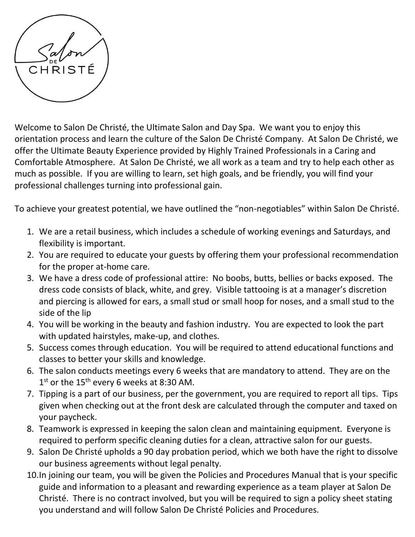

Welcome to Salon De Christé, the Ultimate Salon and Day Spa. We want you to enjoy this orientation process and learn the culture of the Salon De Christé Company. At Salon De Christé, we offer the Ultimate Beauty Experience provided by Highly Trained Professionals in a Caring and Comfortable Atmosphere. At Salon De Christé, we all work as a team and try to help each other as much as possible. If you are willing to learn, set high goals, and be friendly, you will find your professional challenges turning into professional gain.

To achieve your greatest potential, we have outlined the "non-negotiables" within Salon De Christé.

- 1. We are a retail business, which includes a schedule of working evenings and Saturdays, and flexibility is important.
- 2. You are required to educate your guests by offering them your professional recommendation for the proper at-home care.
- 3. We have a dress code of professional attire: No boobs, butts, bellies or backs exposed. The dress code consists of black, white, and grey. Visible tattooing is at a manager's discretion and piercing is allowed for ears, a small stud or small hoop for noses, and a small stud to the side of the lip
- 4. You will be working in the beauty and fashion industry. You are expected to look the part with updated hairstyles, make-up, and clothes.
- 5. Success comes through education. You will be required to attend educational functions and classes to better your skills and knowledge.
- 6. The salon conducts meetings every 6 weeks that are mandatory to attend. They are on the  $1<sup>st</sup>$  or the 15<sup>th</sup> every 6 weeks at 8:30 AM.
- 7. Tipping is a part of our business, per the government, you are required to report all tips. Tips given when checking out at the front desk are calculated through the computer and taxed on your paycheck.
- 8. Teamwork is expressed in keeping the salon clean and maintaining equipment. Everyone is required to perform specific cleaning duties for a clean, attractive salon for our guests.
- 9. Salon De Christé upholds a 90 day probation period, which we both have the right to dissolve our business agreements without legal penalty.
- 10.In joining our team, you will be given the Policies and Procedures Manual that is your specific guide and information to a pleasant and rewarding experience as a team player at Salon De Christé. There is no contract involved, but you will be required to sign a policy sheet stating you understand and will follow Salon De Christé Policies and Procedures.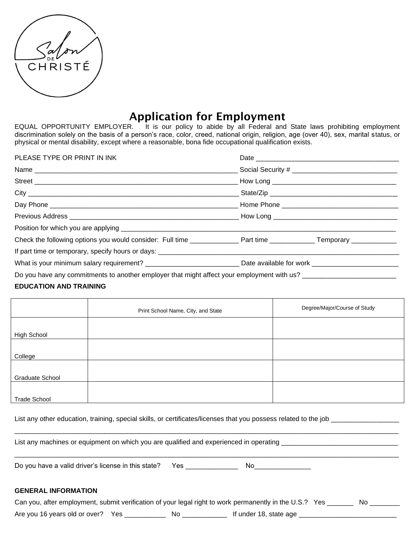|  | $\frac{1}{2}$ $\frac{\alpha}{2}$ |  |
|--|----------------------------------|--|
|  | CHRISTÉ                          |  |
|  |                                  |  |

# Application for Employment

EQUAL OPPORTUNITY EMPLOYER. It is our policy to abide by all Federal and State laws prohibiting employment discrimination solely on the basis of a person's race, color, creed, national origin, religion, age (over 40), sex, marital status, or physical or mental disability, except where a reasonable, bona fide occupational qualification exists.

| PLEASE TYPE OR PRINT IN INK                                                                                                             |  |
|-----------------------------------------------------------------------------------------------------------------------------------------|--|
|                                                                                                                                         |  |
|                                                                                                                                         |  |
|                                                                                                                                         |  |
|                                                                                                                                         |  |
|                                                                                                                                         |  |
|                                                                                                                                         |  |
|                                                                                                                                         |  |
|                                                                                                                                         |  |
| What is your minimum salary requirement? __________________________________ Date available for work ___________________________________ |  |
| Do you have any commitments to another employer that might affect your employment with us?                                              |  |

## **EDUCATION AND TRAINING**

|                        | Print School Name, City, and State | Degree/Major/Course of Study |
|------------------------|------------------------------------|------------------------------|
|                        |                                    |                              |
| High School            |                                    |                              |
|                        |                                    |                              |
| College                |                                    |                              |
|                        |                                    |                              |
| <b>Graduate School</b> |                                    |                              |
|                        |                                    |                              |
| <b>Trade School</b>    |                                    |                              |

List any other education, training, special skills, or certificates/licenses that you possess related to the job

List any machines or equipment on which you are qualified and experienced in operating \_\_\_\_\_\_\_\_\_\_\_\_\_\_\_\_\_\_\_\_\_\_\_

\_\_\_\_\_\_\_\_\_\_\_\_\_\_\_\_\_\_\_\_\_\_\_\_\_\_\_\_\_\_\_\_\_\_\_\_\_\_\_\_\_\_\_\_\_\_\_\_\_\_\_\_\_\_\_\_\_\_\_\_\_\_\_\_\_\_\_\_\_\_\_\_\_\_\_\_\_\_\_\_\_\_\_\_\_\_\_\_\_\_\_\_\_\_\_\_\_\_\_\_\_\_

\_\_\_\_\_\_\_\_\_\_\_\_\_\_\_\_\_\_\_\_\_\_\_\_\_\_\_\_\_\_\_\_\_\_\_\_\_\_\_\_\_\_\_\_\_\_\_\_\_\_\_\_\_\_\_\_\_\_\_\_\_\_\_\_\_\_\_\_\_\_\_\_\_\_\_\_\_\_\_\_\_\_\_\_\_\_\_\_\_\_\_\_\_\_\_\_\_\_\_\_\_\_ Do you have a valid driver's license in this state? Yes \_\_\_\_\_\_\_\_\_\_\_\_\_\_ No\_\_\_\_\_\_\_\_\_\_\_\_\_\_\_

# **GENERAL INFORMATION**

| Can you, after employment, submit verification of your legal right to work permanently in the U.S.? Yes |    |                        |  |
|---------------------------------------------------------------------------------------------------------|----|------------------------|--|
| Are you 16 years old or over? Yes                                                                       | No | If under 18, state age |  |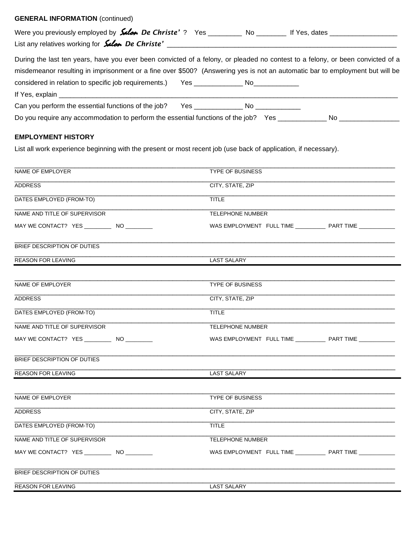# **GENERAL INFORMATION** (continued)

| Were you previously employed by <b>Salan De Christe'</b> ? Yes __________ No ________ If Yes, dates __________________                                                                                                                                         |  |                                                                                                                                                                                                                                |
|----------------------------------------------------------------------------------------------------------------------------------------------------------------------------------------------------------------------------------------------------------------|--|--------------------------------------------------------------------------------------------------------------------------------------------------------------------------------------------------------------------------------|
| During the last ten years, have you ever been convicted of a felony, or pleaded no contest to a felony, or been convicted of a<br>misdemeanor resulting in imprisonment or a fine over \$500? (Answering yes is not an automatic bar to employment but will be |  |                                                                                                                                                                                                                                |
| considered in relation to specific job requirements.) Yes _______________________                                                                                                                                                                              |  |                                                                                                                                                                                                                                |
|                                                                                                                                                                                                                                                                |  |                                                                                                                                                                                                                                |
| Can you perform the essential functions of the job? Yes _________________________ No                                                                                                                                                                           |  |                                                                                                                                                                                                                                |
| Do you require any accommodation to perform the essential functions of the job? Yes __________                                                                                                                                                                 |  | No and the contract of the contract of the contract of the contract of the contract of the contract of the contract of the contract of the contract of the contract of the contract of the contract of the contract of the con |

# **EMPLOYMENT HISTORY**

List all work experience beginning with the present or most recent job (use back of application, if necessary).

| NAME OF EMPLOYER             | <b>TYPE OF BUSINESS</b>                                               |  |
|------------------------------|-----------------------------------------------------------------------|--|
| <b>ADDRESS</b>               | CITY, STATE, ZIP                                                      |  |
| DATES EMPLOYED (FROM-TO)     | <b>TITLE</b>                                                          |  |
| NAME AND TITLE OF SUPERVISOR | <b>TELEPHONE NUMBER</b>                                               |  |
|                              | WAS EMPLOYMENT FULL TIME _______________ PART TIME _____________      |  |
| BRIEF DESCRIPTION OF DUTIES  |                                                                       |  |
| <b>REASON FOR LEAVING</b>    | <b>LAST SALARY</b>                                                    |  |
| NAME OF EMPLOYER             | <b>TYPE OF BUSINESS</b>                                               |  |
| <b>ADDRESS</b>               | CITY, STATE, ZIP                                                      |  |
| DATES EMPLOYED (FROM-TO)     | <b>TITLE</b>                                                          |  |
| NAME AND TITLE OF SUPERVISOR | <b>TELEPHONE NUMBER</b>                                               |  |
|                              | WAS EMPLOYMENT FULL TIME ______________ PART TIME _____________       |  |
| BRIEF DESCRIPTION OF DUTIES  |                                                                       |  |
| <b>REASON FOR LEAVING</b>    | <b>LAST SALARY</b>                                                    |  |
| NAME OF EMPLOYER             | TYPE OF BUSINESS                                                      |  |
| ADDRESS                      | CITY, STATE, ZIP                                                      |  |
| DATES EMPLOYED (FROM-TO)     | <b>TITLE</b>                                                          |  |
| NAME AND TITLE OF SUPERVISOR | <b>TELEPHONE NUMBER</b>                                               |  |
|                              | WAS EMPLOYMENT FULL TIME __________________ PART TIME _______________ |  |
| BRIEF DESCRIPTION OF DUTIES  |                                                                       |  |
| <b>REASON FOR LEAVING</b>    | <b>LAST SALARY</b>                                                    |  |